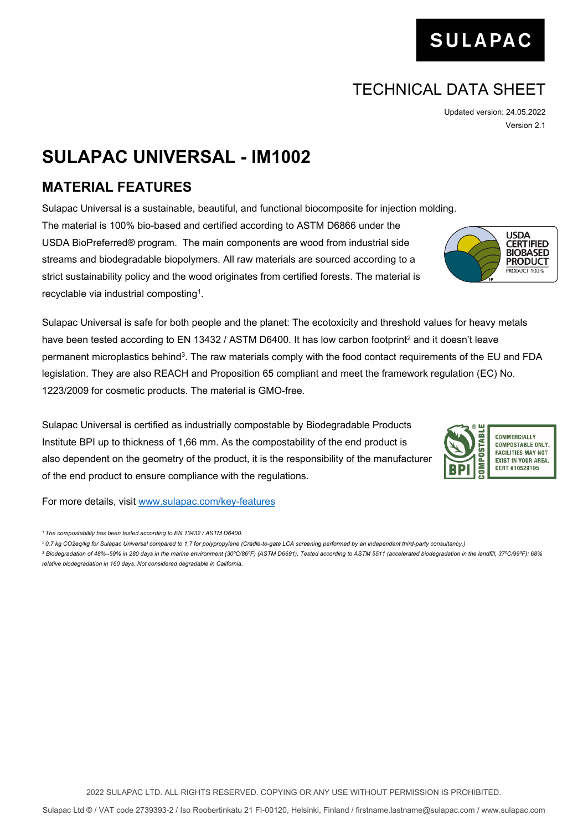## 2022 SULAPAC LTD. ALL RIGHTS RESERVED. COPYING OR ANY USE WITHOUT PERMISSION IS PROHIBITED.

## TECHNICAL DATA SHEET

Updated version: 24.05.2022 Version 2.1

**SULAPAC** 

## **SULAPAC UNIVERSAL - IM1002**

## **MATERIAL FEATURES**

Sulapac Universal is a sustainable, beautiful, and functional biocomposite for injection molding. The material is 100% bio-based and certified according to ASTM D6866 under the USDA BioPreferred® program. The main components are wood from industrial side streams and biodegradable biopolymers. All raw materials are sourced according to a strict sustainability policy and the wood originates from certified forests. The material is recyclable via industrial composting<sup>1</sup>.

Sulapac Universal is safe for both people and the planet: The ecotoxicity and threshold values for heavy metals have been tested according to EN 13432 / ASTM D6400. It has low carbon footprint<sup>2</sup> and it doesn't leave permanent microplastics behind<sup>3</sup>. The raw materials comply with the food contact requirements of the EU and FDA legislation. They are also REACH and Proposition 65 compliant and meet the framework regulation (EC) No. 1223/2009 for cosmetic products. The material is GMO-free.

Sulapac Universal is certified as industrially compostable by Biodegradable Products Institute BPI up to thickness of 1,66 mm. As the compostability of the end product is also dependent on the geometry of the product, it is the responsibility of the manufacturer of the end product to ensure compliance with the regulations.

For more details, visit [www.sulapac.com/key-features](http://www.sulapac.com/key-features)



**USDA CERTIFIED BIOBASED** 



*<sup>1</sup>The compostability has been tested according to EN 13432 / ASTM D6400.*

*<sup>2</sup>0,7 kg CO2eq/kg for Sulapac Universal compared to 1,7 for polypropylene (Cradle-to-gate LCA screening performed by an independent third-party consultancy.)*

*<sup>3</sup> Biodegradation of 48%–59% in 280 days in the marine environment (30ºC/86ºF) (ASTM D6691). Tested according to ASTM 5511 (accelerated biodegradation in the landfill, 37ºC/99ºF): 68% relative biodegradation in 160 days. Not considered degradable in California.*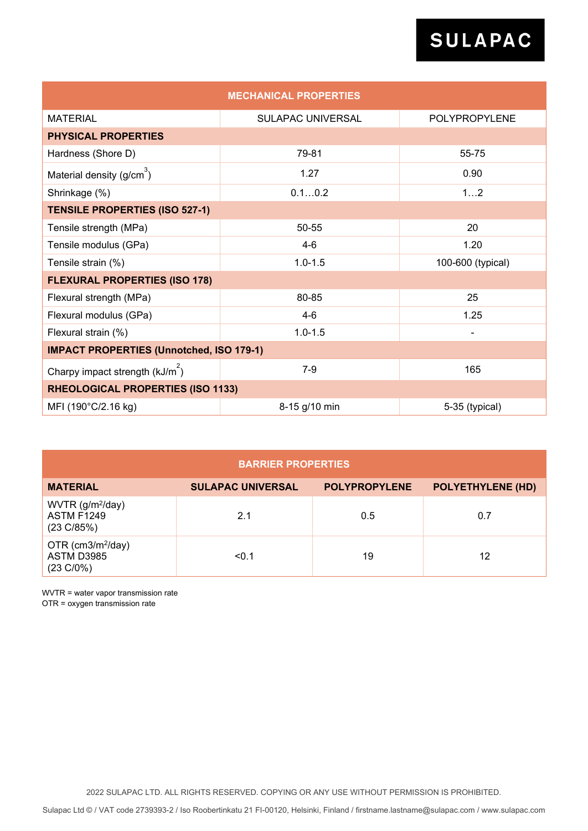# SULAPAC

| <b>MECHANICAL PROPERTIES</b>                    |                          |                      |  |  |  |
|-------------------------------------------------|--------------------------|----------------------|--|--|--|
| <b>MATERIAL</b>                                 | <b>SULAPAC UNIVERSAL</b> | <b>POLYPROPYLENE</b> |  |  |  |
| <b>PHYSICAL PROPERTIES</b>                      |                          |                      |  |  |  |
| Hardness (Shore D)                              | 79-81                    | 55-75                |  |  |  |
| Material density (g/cm <sup>3</sup> )           | 1.27                     | 0.90                 |  |  |  |
| Shrinkage (%)                                   | 0.10.2                   | 12                   |  |  |  |
| <b>TENSILE PROPERTIES (ISO 527-1)</b>           |                          |                      |  |  |  |
| Tensile strength (MPa)                          | 50-55                    | 20                   |  |  |  |
| Tensile modulus (GPa)                           | $4-6$                    | 1.20                 |  |  |  |
| Tensile strain (%)                              | $1.0 - 1.5$              | 100-600 (typical)    |  |  |  |
| <b>FLEXURAL PROPERTIES (ISO 178)</b>            |                          |                      |  |  |  |
| Flexural strength (MPa)                         | 80-85                    | 25                   |  |  |  |
| Flexural modulus (GPa)                          | $4-6$                    | 1.25                 |  |  |  |
| Flexural strain (%)                             | $1.0 - 1.5$              |                      |  |  |  |
| <b>IMPACT PROPERTIES (Unnotched, ISO 179-1)</b> |                          |                      |  |  |  |
| Charpy impact strength $(kJ/m^2)$               | $7-9$                    | 165                  |  |  |  |
| RHEOLOGICAL PROPERTIES (ISO 1133)               |                          |                      |  |  |  |
| MFI (190°C/2.16 kg)                             | 8-15 g/10 min            | 5-35 (typical)       |  |  |  |

| <b>BARRIER PROPERTIES</b>                                                   |                          |                      |                          |  |
|-----------------------------------------------------------------------------|--------------------------|----------------------|--------------------------|--|
| <b>MATERIAL</b>                                                             | <b>SULAPAC UNIVERSAL</b> | <b>POLYPROPYLENE</b> | <b>POLYETHYLENE (HD)</b> |  |
| WVTR (g/m <sup>2</sup> /day)<br><b>ASTM F1249</b><br>$(23 \text{ C} / 85%)$ | 2.1                      | 0.5                  | 0.7                      |  |
| OTR (cm3/m <sup>2</sup> /day)<br>ASTM D3985<br>$(23 \text{ C}/0\%)$         | < 0.1                    | 19                   | 12                       |  |

WVTR = water vapor transmission rate OTR = oxygen transmission rate

2022 SULAPAC LTD. ALL RIGHTS RESERVED. COPYING OR ANY USE WITHOUT PERMISSION IS PROHIBITED.

Sulapac Ltd © / VAT code 2739393-2 / Iso Roobertinkatu 21 FI-00120, Helsinki, Finland / [firstname.lastname@sulapac.com](mailto:firstname.lastname@sulapac.com) / www.sulapac.com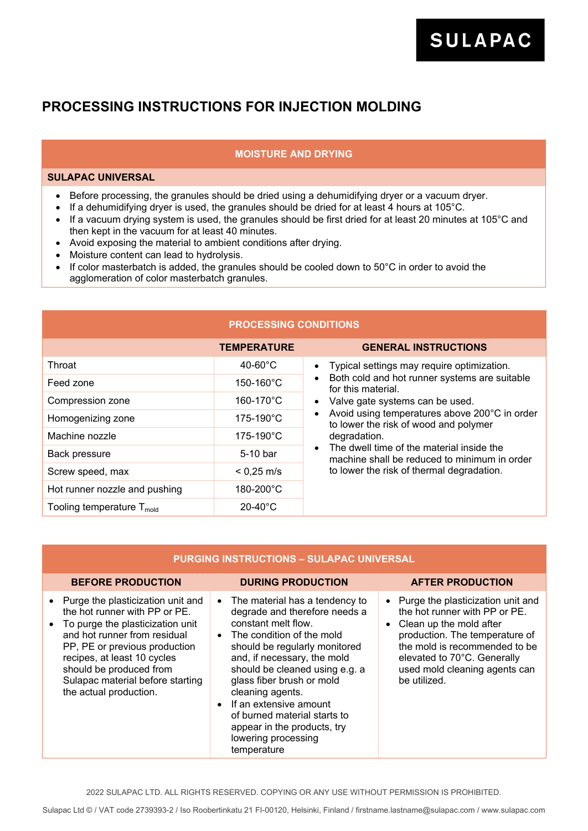## **PROCESSING INSTRUCTIONS FOR INJECTION MOLDING**

## **MOISTURE AND DRYING**

### **SULAPAC UNIVERSAL**

- Before processing, the granules should be dried using a dehumidifying dryer or a vacuum dryer.
- If a dehumidifying dryer is used, the granules should be dried for at least 4 hours at 105°C.
- If a vacuum drying system is used, the granules should be first dried for at least 20 minutes at 105°C and then kept in the vacuum for at least 40 minutes.
- Avoid exposing the material to ambient conditions after drying.
- Moisture content can lead to hydrolysis.
- If color masterbatch is added, the granules should be cooled down to 50°C in order to avoid the agglomeration of color masterbatch granules.

| <b>PROCESSING CONDITIONS</b>         |                       |                                                                                                                                                                                                                                                                                                                                                                                                    |  |  |
|--------------------------------------|-----------------------|----------------------------------------------------------------------------------------------------------------------------------------------------------------------------------------------------------------------------------------------------------------------------------------------------------------------------------------------------------------------------------------------------|--|--|
|                                      | <b>TEMPERATURE</b>    | <b>GENERAL INSTRUCTIONS</b>                                                                                                                                                                                                                                                                                                                                                                        |  |  |
| Throat                               | $40-60^{\circ}$ C     | Typical settings may require optimization.<br>$\bullet$<br>Both cold and hot runner systems are suitable<br>$\bullet$<br>for this material.<br>Valve gate systems can be used.<br>Avoid using temperatures above 200°C in order<br>to lower the risk of wood and polymer<br>degradation.<br>The dwell time of the material inside the<br>$\bullet$<br>machine shall be reduced to minimum in order |  |  |
| Feed zone                            | $150 - 160^{\circ}$ C |                                                                                                                                                                                                                                                                                                                                                                                                    |  |  |
| Compression zone                     | 160-170°C             |                                                                                                                                                                                                                                                                                                                                                                                                    |  |  |
| Homogenizing zone                    | $175 - 190^{\circ}$ C |                                                                                                                                                                                                                                                                                                                                                                                                    |  |  |
| Machine nozzle                       | $175 - 190^{\circ}$ C |                                                                                                                                                                                                                                                                                                                                                                                                    |  |  |
| Back pressure                        | 5-10 bar              |                                                                                                                                                                                                                                                                                                                                                                                                    |  |  |
| Screw speed, max                     | $< 0.25$ m/s          | to lower the risk of thermal degradation.                                                                                                                                                                                                                                                                                                                                                          |  |  |
| Hot runner nozzle and pushing        | 180-200°C             |                                                                                                                                                                                                                                                                                                                                                                                                    |  |  |
| Tooling temperature $T_{\text{mod}}$ | $20-40^{\circ}$ C     |                                                                                                                                                                                                                                                                                                                                                                                                    |  |  |

### **PURGING INSTRUCTIONS – SULAPAC UNIVERSAL**

### **BEFORE PRODUCTION DURING PRODUCTION AFTER PRODUCTION**

**SULAPAC** 

- Purge the plasticization unit and the hot runner with PP or PE.
- Clean up the mold after production. The temperature of the mold is recommended to be elevated to 70°C. Generally used mold cleaning agents can be utilized.

| $\bullet$ | Purge the plasticization unit and |
|-----------|-----------------------------------|
|           | the hot runner with PP or PE.     |
| $\bullet$ | To purge the plasticization unit  |

- and hot runner from residual PP, PE or previous production recipes, at least 10 cycles should be produced from Sulapac material before starting the actual production.
- The material has a tendency to degrade and therefore needs a constant melt flow.
- The condition of the mold should be regularly monitored and, if necessary, the mold should be cleaned using e.g. a glass fiber brush or mold cleaning agents.
- If an extensive amount of burned material starts to appear in the products, try lowering processing temperature

2022 SULAPAC LTD. ALL RIGHTS RESERVED. COPYING OR ANY USE WITHOUT PERMISSION IS PROHIBITED.

Sulapac Ltd © / VAT code 2739393-2 / Iso Roobertinkatu 21 FI-00120, Helsinki, Finland / [firstname.lastname@sulapac.com](mailto:firstname.lastname@sulapac.com) / www.sulapac.com